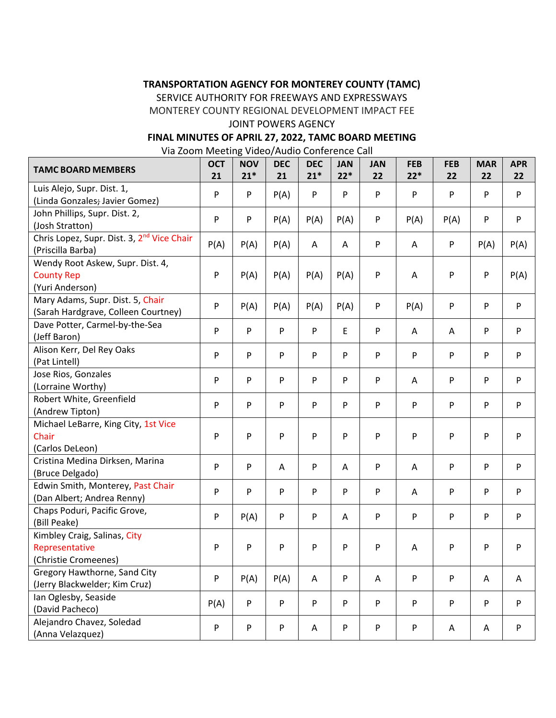# **TRANSPORTATION AGENCY FOR MONTEREY COUNTY (TAMC)**

SERVICE AUTHORITY FOR FREEWAYS AND EXPRESSWAYS

MONTEREY COUNTY REGIONAL DEVELOPMENT IMPACT FEE

### JOINT POWERS AGENCY

# **FINAL MINUTES OF APRIL 27, 2022, TAMC BOARD MEETING**

Via Zoom Meeting Video/Audio Conference Call

| <b>TAMC BOARD MEMBERS</b>                                                   | <b>OCT</b><br>21 | <b>NOV</b><br>$21*$ | <b>DEC</b><br>21 | <b>DEC</b><br>$21*$ | <b>JAN</b><br>$22*$ | <b>JAN</b><br>22 | <b>FEB</b><br>$22*$ | <b>FEB</b><br>22          | <b>MAR</b><br>22 | <b>APR</b><br>22          |
|-----------------------------------------------------------------------------|------------------|---------------------|------------------|---------------------|---------------------|------------------|---------------------|---------------------------|------------------|---------------------------|
| Luis Alejo, Supr. Dist. 1,<br>(Linda Gonzales; Javier Gomez)                | P                | P                   | P(A)             | P                   | P                   | P                | P                   | P                         | P                | P                         |
| John Phillips, Supr. Dist. 2,<br>(Josh Stratton)                            | P                | P                   | P(A)             | P(A)                | P(A)                | P                | P(A)                | P(A)                      | P                | P                         |
| Chris Lopez, Supr. Dist. 3, 2 <sup>nd</sup> Vice Chair<br>(Priscilla Barba) | P(A)             | P(A)                | P(A)             | A                   | Α                   | P                | A                   | ${\sf P}$                 | P(A)             | P(A)                      |
| Wendy Root Askew, Supr. Dist. 4,<br><b>County Rep</b><br>(Yuri Anderson)    | P                | P(A)                | P(A)             | P(A)                | P(A)                | P                | A                   | P                         | P                | P(A)                      |
| Mary Adams, Supr. Dist. 5, Chair<br>(Sarah Hardgrave, Colleen Courtney)     | P                | P(A)                | P(A)             | P(A)                | P(A)                | P                | P(A)                | $\sf P$                   | P                | P                         |
| Dave Potter, Carmel-by-the-Sea<br>(Jeff Baron)                              | P                | P                   | ${\sf P}$        | P                   | E                   | P                | A                   | A                         | P                | ${\sf P}$                 |
| Alison Kerr, Del Rey Oaks<br>(Pat Lintell)                                  | P                | P                   | P                | P                   | P                   | P                | P                   | P                         | P                | P                         |
| Jose Rios, Gonzales<br>(Lorraine Worthy)                                    | P                | P                   | P                | P                   | P                   | P                | A                   | P                         | P                | ${\sf P}$                 |
| Robert White, Greenfield<br>(Andrew Tipton)                                 | P                | P                   | P                | P                   | P                   | P                | P                   | $\boldsymbol{\mathsf{P}}$ | P                | P                         |
| Michael LeBarre, King City, 1st Vice<br>Chair<br>(Carlos DeLeon)            | P                | P                   | P                | P                   | P                   | P                | P                   | P                         | P                | P                         |
| Cristina Medina Dirksen, Marina<br>(Bruce Delgado)                          | P                | P                   | A                | P                   | Α                   | P                | A                   | P                         | P                | P                         |
| Edwin Smith, Monterey, Past Chair<br>(Dan Albert; Andrea Renny)             | P                | P                   | P                | P                   | P                   | P                | A                   | P                         | P                | $\boldsymbol{\mathsf{P}}$ |
| Chaps Poduri, Pacific Grove,<br>(Bill Peake)                                | P                | P(A)                | P                | P                   | A                   | P                | P                   | P                         | P                | P                         |
| Kimbley Craig, Salinas, City<br>Representative<br>(Christie Cromeenes)      | P                | P                   | P                | P                   | P                   | P                | A                   | P                         | P                | P                         |
| Gregory Hawthorne, Sand City<br>(Jerry Blackwelder; Kim Cruz)               | P                | P(A)                | P(A)             | A                   | P                   | Α                | P                   | $\sf P$                   | A                | A                         |
| Ian Oglesby, Seaside<br>(David Pacheco)                                     | P(A)             | P                   | P                | P                   | P                   | P                | P                   | P                         | P                | P                         |
| Alejandro Chavez, Soledad<br>(Anna Velazquez)                               | P                | P                   | ${\sf P}$        | Α                   | P                   | P                | P                   | Α                         | Α                | P                         |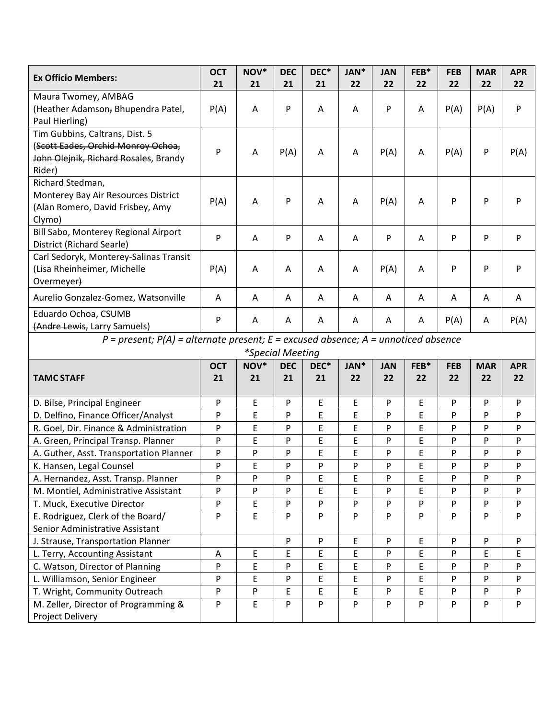| <b>Ex Officio Members:</b>                                                                                              | <b>OCT</b> | NOV* | <b>DEC</b> | DEC* | JAN* | <b>JAN</b> | FEB* | <b>FEB</b> | <b>MAR</b> | <b>APR</b> |
|-------------------------------------------------------------------------------------------------------------------------|------------|------|------------|------|------|------------|------|------------|------------|------------|
|                                                                                                                         | 21         | 21   | 21         | 21   | 22   | 22         | 22   | 22         | 22         | 22         |
| Maura Twomey, AMBAG<br>(Heather Adamson, Bhupendra Patel,<br>Paul Hierling)                                             | P(A)       | A    | P          | Α    | A    | P          | A    | P(A)       | P(A)       | P          |
| Tim Gubbins, Caltrans, Dist. 5<br>(Scott Eades, Orchid Monroy Ochoa,<br>John Olejnik, Richard Rosales, Brandy<br>Rider) | P          | A    | P(A)       | A    | A    | P(A)       | Α    | P(A)       | P          | P(A)       |
| Richard Stedman,<br>Monterey Bay Air Resources District<br>(Alan Romero, David Frisbey, Amy<br>Clymo)                   | P(A)       | A    | P          | A    | A    | P(A)       | A    | P          | P          | P          |
| Bill Sabo, Monterey Regional Airport<br>District (Richard Searle)                                                       | P          | A    | P          | Α    | A    | P          | Α    | P          | P          | P          |
| Carl Sedoryk, Monterey-Salinas Transit<br>(Lisa Rheinheimer, Michelle<br>Overmeyer)                                     | P(A)       | A    | Α          | A    | Α    | P(A)       | A    | P          | P          | P          |
| Aurelio Gonzalez-Gomez, Watsonville                                                                                     | A          | Α    | Α          | A    | A    | Α          | Α    | A          | A          | A          |
| Eduardo Ochoa, CSUMB<br>(Andre Lewis, Larry Samuels)                                                                    | P          | A    | A          | A    | A    | A          | A    | P(A)       | A          | P(A)       |
| $P = present$ ; $P(A) = alternate present$ ; $E = excused absence$ ; $A = un noticed absence$                           |            |      |            |      |      |            |      |            |            |            |
| *Special Meeting                                                                                                        |            |      |            |      |      |            |      |            |            |            |
|                                                                                                                         | <b>OCT</b> | NOV* | <b>DEC</b> | DEC* | JAN* | <b>JAN</b> | FEB* | <b>FEB</b> | <b>MAR</b> | <b>APR</b> |
| <b>TAMC STAFF</b>                                                                                                       | 21         | 21   | 21         | 21   | 22   | 22         | 22   | 22         | 22         | 22         |
| D. Bilse, Principal Engineer                                                                                            | P          | E    | P          | E    | E    | P          | E    | P          | P          | P          |
| D. Delfino, Finance Officer/Analyst                                                                                     | P          | E    | P          | E    | E    | P          | E    | P          | P          | P          |
| R. Goel, Dir. Finance & Administration                                                                                  | P          | E    | P          | E    | E    | P          | E    | P          | P          | P          |
| A. Green, Principal Transp. Planner                                                                                     | P          | E    | P          | E    | E    | P          | E    | P          | P          | P          |
| A. Guther, Asst. Transportation Planner                                                                                 | P          | P    | P          | E    | E    | P          | E    | P          | P          | P          |
| K. Hansen, Legal Counsel                                                                                                | P          | E    | P          | P    | P    | P          | E    | P          | P          | P          |
| A. Hernandez, Asst. Transp. Planner                                                                                     | P          | P    | P          | E    | E    | P          | E    | P          | P          | P          |
| M. Montiel, Administrative Assistant                                                                                    | P          | P    | P          | E    | E    | ${\sf P}$  | E    | P          | P          | P          |
| T. Muck, Executive Director                                                                                             | P          | E    | P          | P    | P    | P          | P    | P          | P          | P          |
| E. Rodriguez, Clerk of the Board/                                                                                       | P          | E    | P          | P    | P    | P          | P    | P          | P          | P          |
| Senior Administrative Assistant                                                                                         |            |      |            |      |      |            |      |            |            |            |
| J. Strause, Transportation Planner                                                                                      |            |      | P          | P    | E    | P          | E    | P          | P          | P          |
| L. Terry, Accounting Assistant                                                                                          | Α          | E    | E          | E    | E    | P          | E    | P          | E          | E          |
| C. Watson, Director of Planning                                                                                         | P          | E    | P          | E    | E    | P          | E    | P          | P          | P          |
| L. Williamson, Senior Engineer                                                                                          | P          | E    | P          | E    | E    | ${\sf P}$  | E    | P          | P          | P          |
| T. Wright, Community Outreach                                                                                           | P          | P    | E          | E    | E    | P          | E    | P          | P          | P          |
| M. Zeller, Director of Programming &<br>Project Delivery                                                                | P          | E    | P          | P    | P    | P          | P    | P          | P          | P          |
|                                                                                                                         |            |      |            |      |      |            |      |            |            |            |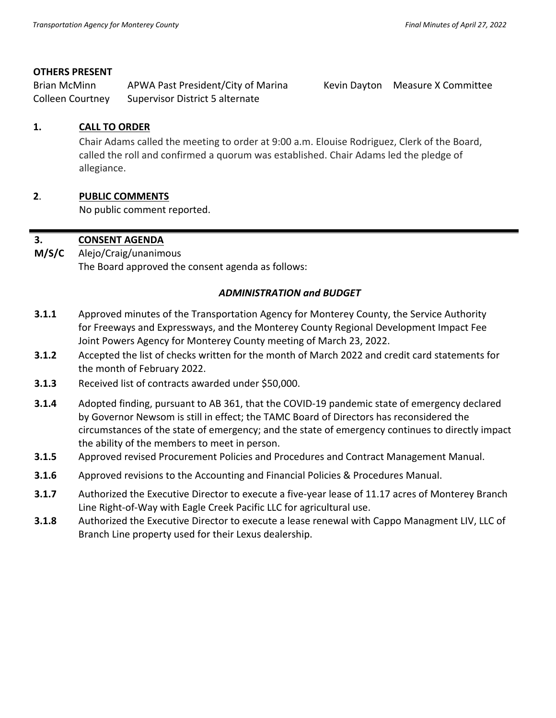### **OTHERS PRESENT**

Brian McMinn APWA Past President/City of Marina Kevin Dayton Measure X Committee Colleen Courtney Supervisor District 5 alternate

### **1. CALL TO ORDER**

Chair Adams called the meeting to order at 9:00 a.m. Elouise Rodriguez, Clerk of the Board, called the roll and confirmed a quorum was established. Chair Adams led the pledge of allegiance.

# **2**. **PUBLIC COMMENTS**

No public comment reported.

#### **3. CONSENT AGENDA**

**M/S/C**  Alejo/Craig/unanimous The Board approved the consent agenda as follows:

#### *ADMINISTRATION and BUDGET*

- **3.1.1** Approved minutes of the Transportation Agency for Monterey County, the Service Authority for Freeways and Expressways, and the Monterey County Regional Development Impact Fee Joint Powers Agency for Monterey County meeting of March 23, 2022.
- **3.1.2** Accepted the list of checks written for the month of March 2022 and credit card statements for the month of February 2022.
- **3.1.3** Received list of contracts awarded under \$50,000.
- **3.1.4** Adopted finding, pursuant to AB 361, that the COVID-19 pandemic state of emergency declared by Governor Newsom is still in effect; the TAMC Board of Directors has reconsidered the circumstances of the state of emergency; and the state of emergency continues to directly impact the ability of the members to meet in person.
- **3.1.5** Approved revised Procurement Policies and Procedures and Contract Management Manual.
- **3.1.6** Approved revisions to the Accounting and Financial Policies & Procedures Manual.
- **3.1.7** Authorized the Executive Director to execute a five-year lease of 11.17 acres of Monterey Branch Line Right-of-Way with Eagle Creek Pacific LLC for agricultural use.
- **3.1.8** Authorized the Executive Director to execute a lease renewal with Cappo Managment LIV, LLC of Branch Line property used for their Lexus dealership.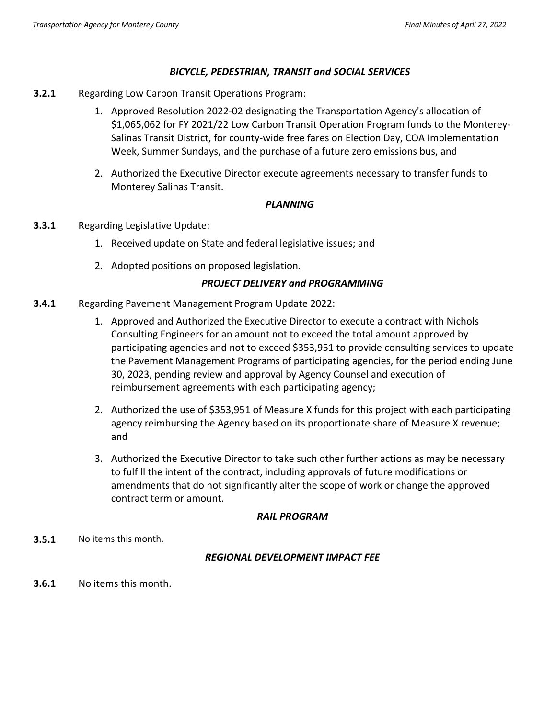# *BICYCLE, PEDESTRIAN, TRANSIT and SOCIAL SERVICES*

- **3.2.1** Regarding Low Carbon Transit Operations Program:
	- 1. Approved Resolution 2022-02 designating the Transportation Agency's allocation of \$1,065,062 for FY 2021/22 Low Carbon Transit Operation Program funds to the Monterey-Salinas Transit District, for county-wide free fares on Election Day, COA Implementation Week, Summer Sundays, and the purchase of a future zero emissions bus, and
	- 2. Authorized the Executive Director execute agreements necessary to transfer funds to Monterey Salinas Transit.

# *PLANNING*

- **3.3.1** Regarding Legislative Update:
	- 1. Received update on State and federal legislative issues; and
	- 2. Adopted positions on proposed legislation.

# *PROJECT DELIVERY and PROGRAMMING*

- **3.4.1** Regarding Pavement Management Program Update 2022:
	- 1. Approved and Authorized the Executive Director to execute a contract with Nichols Consulting Engineers for an amount not to exceed the total amount approved by participating agencies and not to exceed \$353,951 to provide consulting services to update the Pavement Management Programs of participating agencies, for the period ending June 30, 2023, pending review and approval by Agency Counsel and execution of reimbursement agreements with each participating agency;
	- 2. Authorized the use of \$353,951 of Measure X funds for this project with each participating agency reimbursing the Agency based on its proportionate share of Measure X revenue; and
	- 3. Authorized the Executive Director to take such other further actions as may be necessary to fulfill the intent of the contract, including approvals of future modifications or amendments that do not significantly alter the scope of work or change the approved contract term or amount.

### *RAIL PROGRAM*

**3.5.1** No items this month.

### *REGIONAL DEVELOPMENT IMPACT FEE*

**3.6.1** No items this month.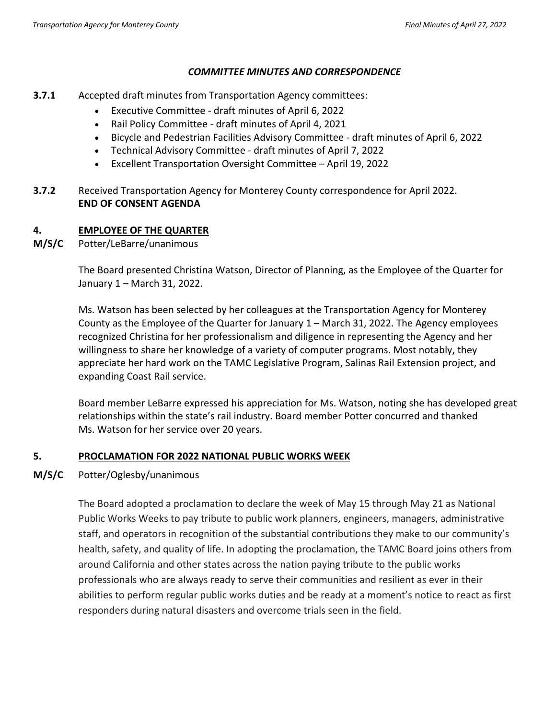#### *COMMITTEE MINUTES AND CORRESPONDENCE*

- **3.7.1** Accepted draft minutes from Transportation Agency committees:
	- Executive Committee draft minutes of April 6, 2022
	- Rail Policy Committee draft minutes of April 4, 2021
	- Bicycle and Pedestrian Facilities Advisory Committee draft minutes of April 6, 2022
	- Technical Advisory Committee draft minutes of April 7, 2022
	- Excellent Transportation Oversight Committee April 19, 2022
- **3.7.2** Received Transportation Agency for Monterey County correspondence for April 2022. **END OF CONSENT AGENDA**

# **4. EMPLOYEE OF THE QUARTER**

**M/S/C** Potter/LeBarre/unanimous

The Board presented Christina Watson, Director of Planning, as the Employee of the Quarter for January 1 – March 31, 2022.

Ms. Watson has been selected by her colleagues at the Transportation Agency for Monterey County as the Employee of the Quarter for January 1 – March 31, 2022. The Agency employees recognized Christina for her professionalism and diligence in representing the Agency and her willingness to share her knowledge of a variety of computer programs. Most notably, they appreciate her hard work on the TAMC Legislative Program, Salinas Rail Extension project, and expanding Coast Rail service.

Board member LeBarre expressed his appreciation for Ms. Watson, noting she has developed great relationships within the state's rail industry. Board member Potter concurred and thanked Ms. Watson for her service over 20 years.

# **5. PROCLAMATION FOR 2022 NATIONAL PUBLIC WORKS WEEK**

# **M/S/C** Potter/Oglesby/unanimous

The Board adopted a proclamation to declare the week of May 15 through May 21 as National Public Works Weeks to pay tribute to public work planners, engineers, managers, administrative staff, and operators in recognition of the substantial contributions they make to our community's health, safety, and quality of life. In adopting the proclamation, the TAMC Board joins others from around California and other states across the nation paying tribute to the public works professionals who are always ready to serve their communities and resilient as ever in their abilities to perform regular public works duties and be ready at a moment's notice to react as first responders during natural disasters and overcome trials seen in the field.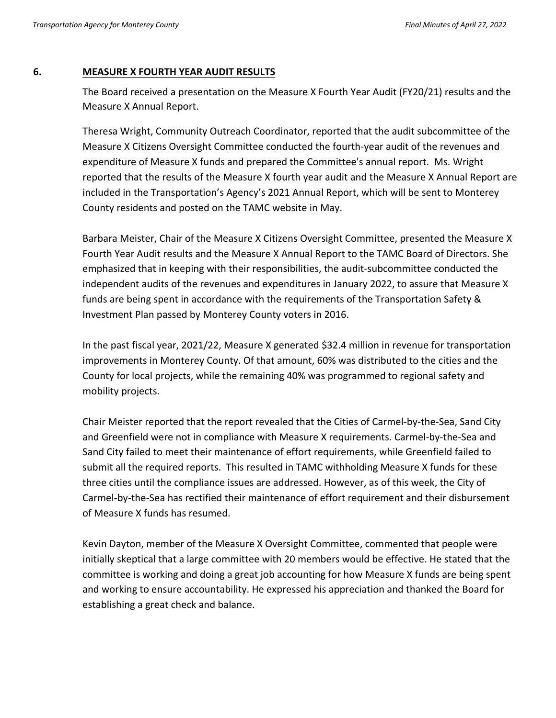#### **6. MEASURE X FOURTH YEAR AUDIT RESULTS**

The Board received a presentation on the Measure X Fourth Year Audit (FY20/21) results and the Measure X Annual Report.

Theresa Wright, Community Outreach Coordinator, reported that the audit subcommittee of the Measure X Citizens Oversight Committee conducted the fourth-year audit of the revenues and expenditure of Measure X funds and prepared the Committee's annual report. Ms. Wright reported that the results of the Measure X fourth year audit and the Measure X Annual Report are included in the Transportation's Agency's 2021 Annual Report, which will be sent to Monterey County residents and posted on the TAMC website in May.

Barbara Meister, Chair of the Measure X Citizens Oversight Committee, presented the Measure X Fourth Year Audit results and the Measure X Annual Report to the TAMC Board of Directors. She emphasized that in keeping with their responsibilities, the audit-subcommittee conducted the independent audits of the revenues and expenditures in January 2022, to assure that Measure X funds are being spent in accordance with the requirements of the Transportation Safety & Investment Plan passed by Monterey County voters in 2016.

In the past fiscal year, 2021/22, Measure X generated \$32.4 million in revenue for transportation improvements in Monterey County. Of that amount, 60% was distributed to the cities and the County for local projects, while the remaining 40% was programmed to regional safety and mobility projects.

Chair Meister reported that the report revealed that the Cities of Carmel-by-the-Sea, Sand City and Greenfield were not in compliance with Measure X requirements. Carmel-by-the-Sea and Sand City failed to meet their maintenance of effort requirements, while Greenfield failed to submit all the required reports. This resulted in TAMC withholding Measure X funds for these three cities until the compliance issues are addressed. However, as of this week, the City of Carmel-by-the-Sea has rectified their maintenance of effort requirement and their disbursement of Measure X funds has resumed.

Kevin Dayton, member of the Measure X Oversight Committee, commented that people were initially skeptical that a large committee with 20 members would be effective. He stated that the committee is working and doing a great job accounting for how Measure X funds are being spent and working to ensure accountability. He expressed his appreciation and thanked the Board for establishing a great check and balance.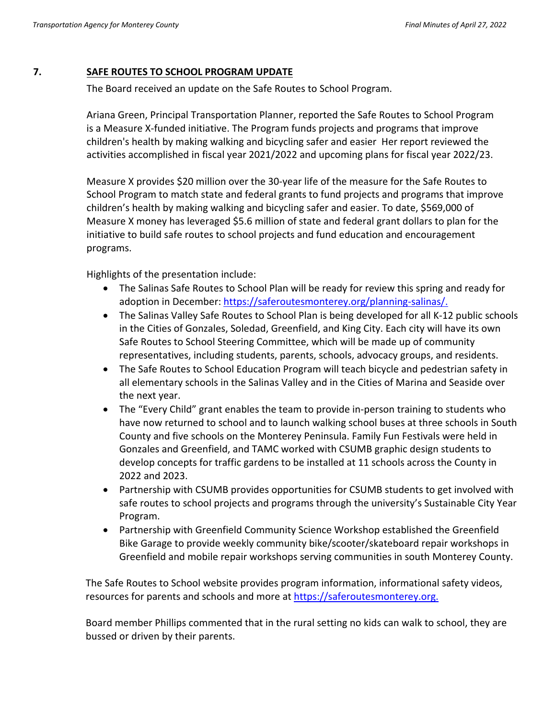# **7. SAFE ROUTES TO SCHOOL PROGRAM UPDATE**

The Board received an update on the Safe Routes to School Program.

Ariana Green, Principal Transportation Planner, reported the Safe Routes to School Program is a Measure X-funded initiative. The Program funds projects and programs that improve children's health by making walking and bicycling safer and easier Her report reviewed the activities accomplished in fiscal year 2021/2022 and upcoming plans for fiscal year 2022/23.

Measure X provides \$20 million over the 30-year life of the measure for the Safe Routes to School Program to match state and federal grants to fund projects and programs that improve children's health by making walking and bicycling safer and easier. To date, \$569,000 of Measure X money has leveraged \$5.6 million of state and federal grant dollars to plan for the initiative to build safe routes to school projects and fund education and encouragement programs.

Highlights of the presentation include:

- The Salinas Safe Routes to School Plan will be ready for review this spring and ready for adoption in December: [https://saferoutesmonterey.org/planning-salinas/.](https://saferoutesmonterey.org/planning-salinas/)
- The Salinas Valley Safe Routes to School Plan is being developed for all K-12 public schools in the Cities of Gonzales, Soledad, Greenfield, and King City. Each city will have its own Safe Routes to School Steering Committee, which will be made up of community representatives, including students, parents, schools, advocacy groups, and residents.
- The Safe Routes to School Education Program will teach bicycle and pedestrian safety in all elementary schools in the Salinas Valley and in the Cities of Marina and Seaside over the next year.
- The "Every Child" grant enables the team to provide in-person training to students who have now returned to school and to launch walking school buses at three schools in South County and five schools on the Monterey Peninsula. Family Fun Festivals were held in Gonzales and Greenfield, and TAMC worked with CSUMB graphic design students to develop concepts for traffic gardens to be installed at 11 schools across the County in 2022 and 2023.
- Partnership with CSUMB provides opportunities for CSUMB students to get involved with safe routes to school projects and programs through the university's Sustainable City Year Program.
- Partnership with Greenfield Community Science Workshop established the Greenfield Bike Garage to provide weekly community bike/scooter/skateboard repair workshops in Greenfield and mobile repair workshops serving communities in south Monterey County.

The Safe Routes to School website provides program information, informational safety videos, resources for parents and schools and more a[t https://saferoutesmonterey.org.](https://saferoutesmonterey.org/)

Board member Phillips commented that in the rural setting no kids can walk to school, they are bussed or driven by their parents.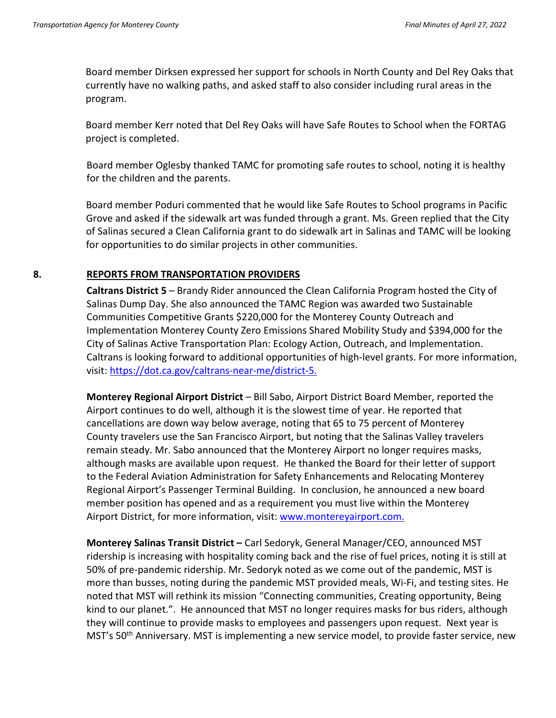Board member Dirksen expressed her support for schools in North County and Del Rey Oaks that currently have no walking paths, and asked staff to also consider including rural areas in the program.

Board member Kerr noted that Del Rey Oaks will have Safe Routes to School when the FORTAG project is completed.

Board member Oglesby thanked TAMC for promoting safe routes to school, noting it is healthy for the children and the parents.

Board member Poduri commented that he would like Safe Routes to School programs in Pacific Grove and asked if the sidewalk art was funded through a grant. Ms. Green replied that the City of Salinas secured a Clean California grant to do sidewalk art in Salinas and TAMC will be looking for opportunities to do similar projects in other communities.

#### **8. REPORTS FROM TRANSPORTATION PROVIDERS**

**Caltrans District 5** – Brandy Rider announced the Clean California Program hosted the City of Salinas Dump Day. She also announced the TAMC Region was awarded two Sustainable Communities Competitive Grants \$220,000 for the Monterey County Outreach and Implementation Monterey County Zero Emissions Shared Mobility Study and \$394,000 for the City of Salinas Active Transportation Plan: Ecology Action, Outreach, and Implementation. Caltrans is looking forward to additional opportunities of high-level grants. For more information, visit: [https://dot.ca.gov/caltrans-near-me/district-5.](https://dot.ca.gov/caltrans-near-me/district-5)

**Monterey Regional Airport District** – Bill Sabo, Airport District Board Member, reported the Airport continues to do well, although it is the slowest time of year. He reported that cancellations are down way below average, noting that 65 to 75 percent of Monterey County travelers use the San Francisco Airport, but noting that the Salinas Valley travelers remain steady. Mr. Sabo announced that the Monterey Airport no longer requires masks, although masks are available upon request. He thanked the Board for their letter of support to the Federal Aviation Administration for Safety Enhancements and Relocating Monterey Regional Airport's Passenger Terminal Building. In conclusion, he announced a new board member position has opened and as a requirement you must live within the Monterey Airport District, for more information, visit: [www.montereyairport.com.](http://www.montereyairport.com/)

**Monterey Salinas Transit District –** Carl Sedoryk, General Manager/CEO, announced MST ridership is increasing with hospitality coming back and the rise of fuel prices, noting it is still at 50% of pre-pandemic ridership. Mr. Sedoryk noted as we come out of the pandemic, MST is more than busses, noting during the pandemic MST provided meals, Wi-Fi, and testing sites. He noted that MST will rethink its mission "Connecting communities, Creating opportunity, Being kind to our planet.". He announced that MST no longer requires masks for bus riders, although they will continue to provide masks to employees and passengers upon request. Next year is MST's 50<sup>th</sup> Anniversary. MST is implementing a new service model, to provide faster service, new